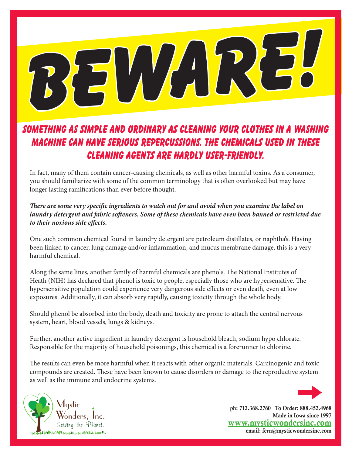BEWARE!

#### Something as simple and ordinary as cleaning your clothes in a washing machine can have serious repercussions. The chemicals used in these cleaning agents are hardly user-friendly.

In fact, many of them contain cancer-causing chemicals, as well as other harmful toxins. As a consumer, you should familiarize with some of the common terminology that is often overlooked but may have longer lasting ramifications than ever before thought.

#### *There are some very specific ingredients to watch out for and avoid when you examine the label on laundry detergent and fabric softeners. Some of these chemicals have even been banned or restricted due to their noxious side effects.*

One such common chemical found in laundry detergent are petroleum distillates, or naphtha's. Having been linked to cancer, lung damage and/or inflammation, and mucus membrane damage, this is a very harmful chemical.

Along the same lines, another family of harmful chemicals are phenols. The National Institutes of Heath (NIH) has declared that phenol is toxic to people, especially those who are hypersensitive. The hypersensitive population could experience very dangerous side effects or even death, even at low exposures. Additionally, it can absorb very rapidly, causing toxicity through the whole body.

Should phenol be absorbed into the body, death and toxicity are prone to attach the central nervous system, heart, blood vessels, lungs & kidneys.

Further, another active ingredient in laundry detergent is household bleach, sodium hypo chlorate. Responsible for the majority of household poisonings, this chemical is a forerunner to chlorine.

The results can even be more harmful when it reacts with other organic materials. Carcinogenic and toxic compounds are created. These have been known to cause disorders or damage to the reproductive system as well as the immune and endocrine systems.





ph: 712.368.2760 To Order: 888.452.4968 Made in Iowa since 1997 www.mysticwondersinc.com email: fern@mysticwondersinc.com